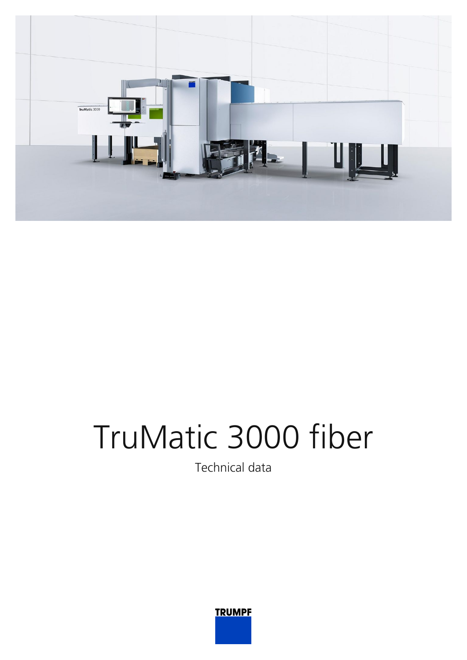

## TruMatic 3000 fiber

Technical data